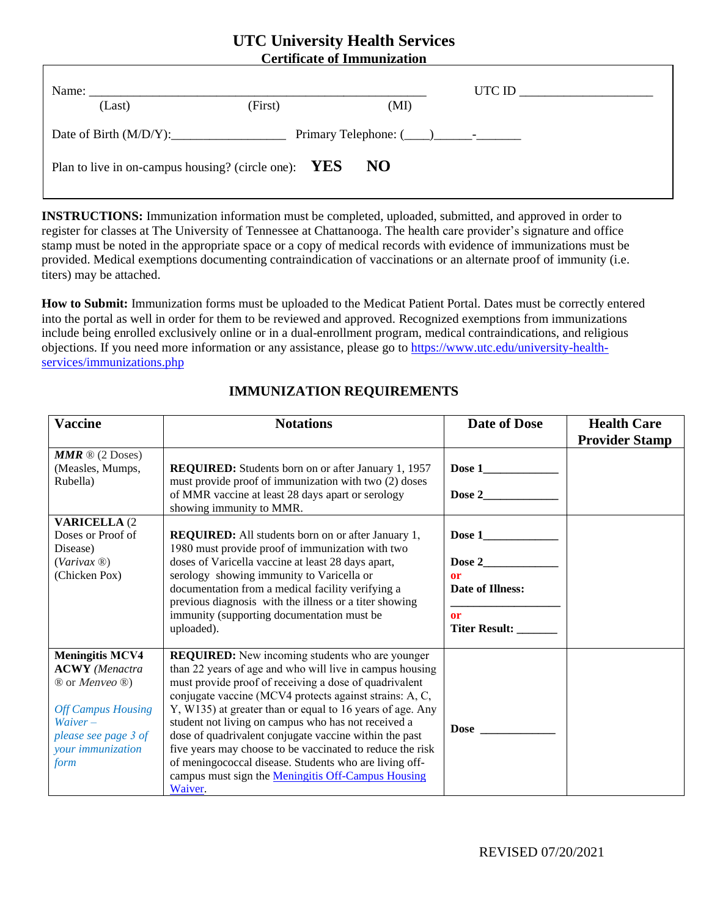## **UTC University Health Services Certificate of Immunization**

| Name:<br>(Last)                                               | (First) | UTC ID $\_\_$<br>(MI) |  |  |  |
|---------------------------------------------------------------|---------|-----------------------|--|--|--|
| Date of Birth $(M/D/Y)$ :                                     |         |                       |  |  |  |
| NO.<br>Plan to live in on-campus housing? (circle one): $YES$ |         |                       |  |  |  |

**INSTRUCTIONS:** Immunization information must be completed, uploaded, submitted, and approved in order to register for classes at The University of Tennessee at Chattanooga. The health care provider's signature and office stamp must be noted in the appropriate space or a copy of medical records with evidence of immunizations must be provided. Medical exemptions documenting contraindication of vaccinations or an alternate proof of immunity (i.e. titers) may be attached.

**How to Submit:** Immunization forms must be uploaded to the Medicat Patient Portal. Dates must be correctly entered into the portal as well in order for them to be reviewed and approved. Recognized exemptions from immunizations include being enrolled exclusively online or in a dual-enrollment program, medical contraindications, and religious objections. If you need more information or any assistance, please go to [https://www.utc.edu/university-health](https://www.utc.edu/student-health-services/immunizations.php)[services/immunizations.php](https://www.utc.edu/student-health-services/immunizations.php)

| <b>Vaccine</b>                                          | <b>Notations</b>                                                                                              | <b>Date of Dose</b>     | <b>Health Care</b>    |
|---------------------------------------------------------|---------------------------------------------------------------------------------------------------------------|-------------------------|-----------------------|
|                                                         |                                                                                                               |                         | <b>Provider Stamp</b> |
| <b>MMR</b> $\mathbb{R}$ (2 Doses)                       |                                                                                                               |                         |                       |
| (Measles, Mumps,                                        | <b>REQUIRED:</b> Students born on or after January 1, 1957                                                    | Dose $1$                |                       |
| Rubella)                                                | must provide proof of immunization with two (2) doses                                                         |                         |                       |
|                                                         | of MMR vaccine at least 28 days apart or serology                                                             | Dose 2                  |                       |
|                                                         | showing immunity to MMR.                                                                                      |                         |                       |
| <b>VARICELLA (2)</b>                                    |                                                                                                               |                         |                       |
| Doses or Proof of<br>Disease)                           | <b>REQUIRED:</b> All students born on or after January 1,<br>1980 must provide proof of immunization with two | Dose 1                  |                       |
| $(Varivax \&)$                                          | doses of Varicella vaccine at least 28 days apart,                                                            | Dose 2                  |                       |
| (Chicken Pox)                                           | serology showing immunity to Varicella or                                                                     | or                      |                       |
|                                                         | documentation from a medical facility verifying a                                                             | <b>Date of Illness:</b> |                       |
|                                                         | previous diagnosis with the illness or a titer showing                                                        |                         |                       |
|                                                         | immunity (supporting documentation must be                                                                    | or                      |                       |
|                                                         | uploaded).                                                                                                    | <b>Titer Result:</b>    |                       |
|                                                         |                                                                                                               |                         |                       |
| <b>Meningitis MCV4</b>                                  | <b>REQUIRED:</b> New incoming students who are younger                                                        |                         |                       |
| <b>ACWY</b> (Menactra                                   | than 22 years of age and who will live in campus housing                                                      |                         |                       |
| ® or Menveo ®)                                          | must provide proof of receiving a dose of quadrivalent                                                        |                         |                       |
|                                                         | conjugate vaccine (MCV4 protects against strains: A, C,                                                       |                         |                       |
| <b>Off Campus Housing</b><br>$W \text{div} \text{er} -$ | Y, W135) at greater than or equal to 16 years of age. Any                                                     |                         |                       |
| please see page 3 of                                    | student not living on campus who has not received a<br>dose of quadrivalent conjugate vaccine within the past | <b>Dose</b>             |                       |
| your immunization                                       | five years may choose to be vaccinated to reduce the risk                                                     |                         |                       |
| form                                                    | of meningococcal disease. Students who are living off-                                                        |                         |                       |
|                                                         | campus must sign the Meningitis Off-Campus Housing                                                            |                         |                       |
|                                                         | Waiver.                                                                                                       |                         |                       |

# **IMMUNIZATION REQUIREMENTS**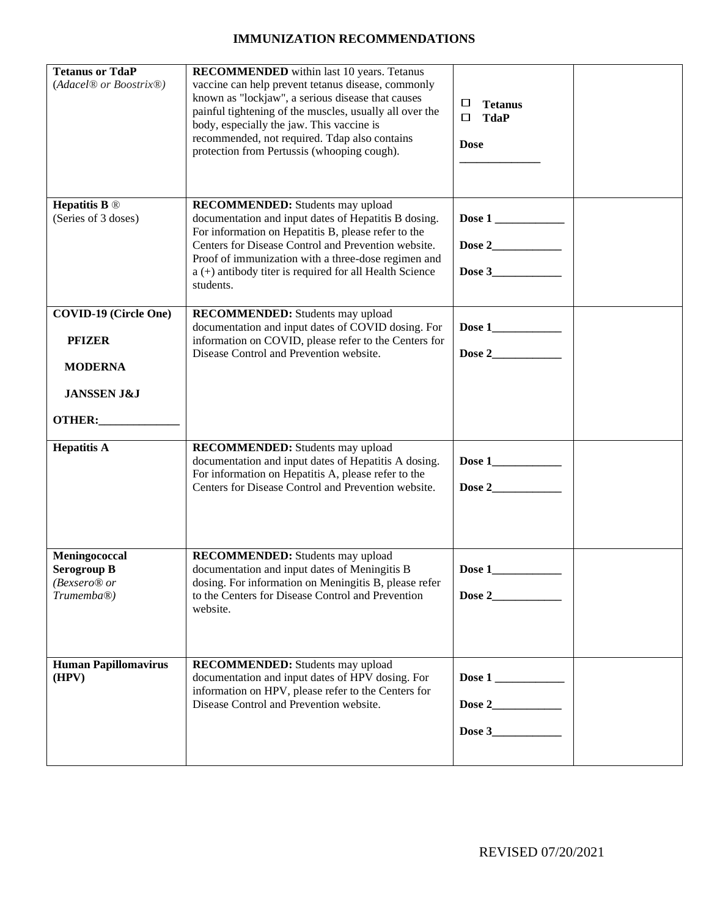### **IMMUNIZATION RECOMMENDATIONS**

| <b>Tetanus or TdaP</b><br>(Adacel <sup>®</sup> or Boostrix <sup>®</sup> )                           | <b>RECOMMENDED</b> within last 10 years. Tetanus<br>vaccine can help prevent tetanus disease, commonly<br>known as "lockjaw", a serious disease that causes<br>painful tightening of the muscles, usually all over the<br>body, especially the jaw. This vaccine is<br>recommended, not required. Tdap also contains<br>protection from Pertussis (whooping cough). | □<br><b>Tetanus</b><br><b>TdaP</b><br>□<br><b>Dose</b> |
|-----------------------------------------------------------------------------------------------------|---------------------------------------------------------------------------------------------------------------------------------------------------------------------------------------------------------------------------------------------------------------------------------------------------------------------------------------------------------------------|--------------------------------------------------------|
| <b>Hepatitis B</b> $\circledR$<br>(Series of 3 doses)                                               | <b>RECOMMENDED:</b> Students may upload<br>documentation and input dates of Hepatitis B dosing.<br>For information on Hepatitis B, please refer to the<br>Centers for Disease Control and Prevention website.<br>Proof of immunization with a three-dose regimen and<br>a (+) antibody titer is required for all Health Science<br>students.                        | Dose 3                                                 |
| <b>COVID-19 (Circle One)</b><br><b>PFIZER</b><br><b>MODERNA</b><br><b>JANSSEN J&amp;J</b><br>OTHER: | <b>RECOMMENDED:</b> Students may upload<br>documentation and input dates of COVID dosing. For<br>information on COVID, please refer to the Centers for<br>Disease Control and Prevention website.                                                                                                                                                                   |                                                        |
| <b>Hepatitis A</b>                                                                                  | <b>RECOMMENDED:</b> Students may upload<br>documentation and input dates of Hepatitis A dosing.<br>For information on Hepatitis A, please refer to the<br>Centers for Disease Control and Prevention website.                                                                                                                                                       |                                                        |
| Meningococcal<br><b>Serogroup B</b><br>(Bexsero® or<br>Trumemba <sup>®</sup> )                      | <b>RECOMMENDED:</b> Students may upload<br>documentation and input dates of Meningitis B<br>dosing. For information on Meningitis B, please refer<br>to the Centers for Disease Control and Prevention<br>website.                                                                                                                                                  | Dose 1<br>Dose 2                                       |
| <b>Human Papillomavirus</b><br>(HPV)                                                                | <b>RECOMMENDED:</b> Students may upload<br>documentation and input dates of HPV dosing. For<br>information on HPV, please refer to the Centers for<br>Disease Control and Prevention website.                                                                                                                                                                       | Dose 1                                                 |